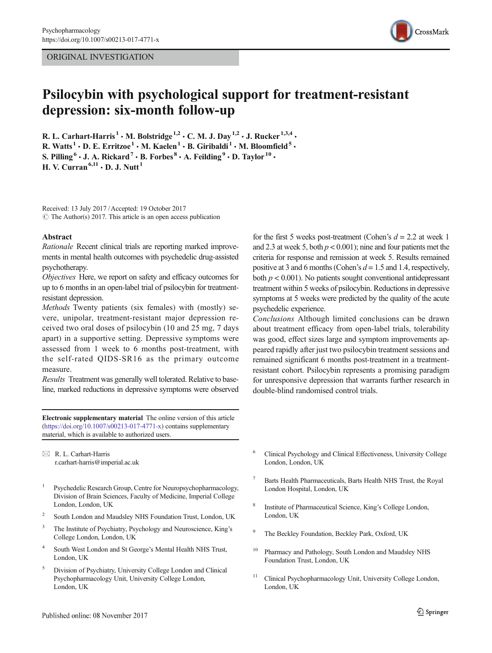## ORIGINAL INVESTIGATION



# Psilocybin with psychological support for treatment-resistant depression: six-month follow-up

R. L. Carhart-Harris<sup>1</sup>  $\cdot$  M. Bolstridge<sup>1,2</sup>  $\cdot$  C. M. J. Day<sup>1,2</sup>  $\cdot$  J. Rucker<sup>1,3,4</sup>  $\cdot$ R. Watts<sup>1</sup>  $\cdot$  D. E. Erritzoe<sup>1</sup>  $\cdot$  M. Kaelen<sup>1</sup>  $\cdot$  B. Giribaldi<sup>1</sup>  $\cdot$  M. Bloomfield<sup>5</sup>  $\cdot$ S. Pilling<sup>6</sup>  $\cdot$  J. A. Rickard<sup>7</sup>  $\cdot$  B. Forbes<sup>8</sup>  $\cdot$  A. Feilding<sup>9</sup>  $\cdot$  D. Taylor<sup>10</sup>  $\cdot$ H. V. Curran<sup>6,11</sup>  $\cdot$  D. J. Nutt<sup>1</sup>

Received: 13 July 2017 /Accepted: 19 October 2017  $\circ$  The Author(s) 2017. This article is an open access publication

#### Abstract

Rationale Recent clinical trials are reporting marked improvements in mental health outcomes with psychedelic drug-assisted psychotherapy.

Objectives Here, we report on safety and efficacy outcomes for up to 6 months in an open-label trial of psilocybin for treatmentresistant depression.

Methods Twenty patients (six females) with (mostly) severe, unipolar, treatment-resistant major depression received two oral doses of psilocybin (10 and 25 mg, 7 days apart) in a supportive setting. Depressive symptoms were assessed from 1 week to 6 months post-treatment, with the self-rated QIDS-SR16 as the primary outcome measure.

Results Treatment was generally well tolerated. Relative to baseline, marked reductions in depressive symptoms were observed

Electronic supplementary material The online version of this article (<https://doi.org/10.1007/s00213-017-4771-x>) contains supplementary material, which is available to authorized users.

 $\boxtimes$  R. L. Carhart-Harris [r.carhart-harris@imperial.ac.uk](mailto:r.carhartarris@imperial.ac.uk)

- <sup>1</sup> Psychedelic Research Group, Centre for Neuropsychopharmacology, Division of Brain Sciences, Faculty of Medicine, Imperial College London, London, UK
- <sup>2</sup> South London and Maudsley NHS Foundation Trust, London, UK
- <sup>3</sup> The Institute of Psychiatry, Psychology and Neuroscience, King's College London, London, UK
- South West London and St George's Mental Health NHS Trust, London, UK
- <sup>5</sup> Division of Psychiatry, University College London and Clinical Psychopharmacology Unit, University College London, London, UK
- <sup>6</sup> Clinical Psychology and Clinical Effectiveness, University College London, London, UK
- <sup>7</sup> Barts Health Pharmaceuticals, Barts Health NHS Trust, the Royal London Hospital, London, UK
- <sup>8</sup> Institute of Pharmaceutical Science, King's College London, London, UK
- <sup>9</sup> The Beckley Foundation, Beckley Park, Oxford, UK
- <sup>10</sup> Pharmacy and Pathology, South London and Maudsley NHS Foundation Trust, London, UK
- Clinical Psychopharmacology Unit, University College London, London, UK

for the first 5 weeks post-treatment (Cohen's  $d = 2.2$  at week 1 and 2.3 at week 5, both  $p < 0.001$ ); nine and four patients met the criteria for response and remission at week 5. Results remained positive at 3 and 6 months (Cohen's  $d = 1.5$  and 1.4, respectively, both  $p < 0.001$ ). No patients sought conventional antidepressant treatment within 5 weeks of psilocybin. Reductions in depressive symptoms at 5 weeks were predicted by the quality of the acute psychedelic experience.

Conclusions Although limited conclusions can be drawn about treatment efficacy from open-label trials, tolerability was good, effect sizes large and symptom improvements appeared rapidly after just two psilocybin treatment sessions and remained significant 6 months post-treatment in a treatmentresistant cohort. Psilocybin represents a promising paradigm for unresponsive depression that warrants further research in double-blind randomised control trials.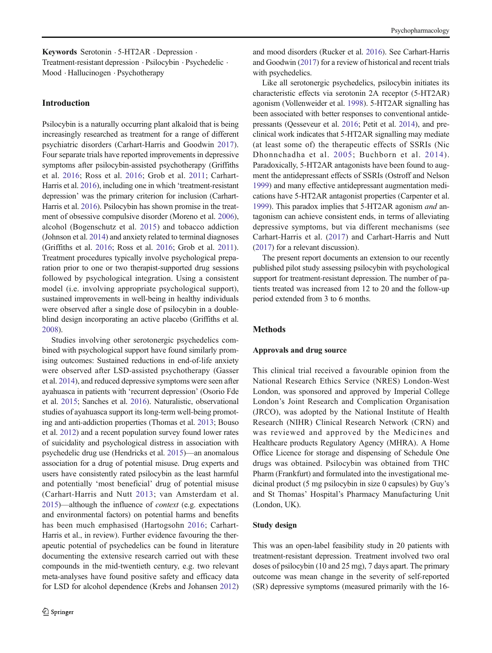Keywords Serotonin . 5-HT2AR . Depression . Treatment-resistant depression . Psilocybin . Psychedelic . Mood . Hallucinogen . Psychotherapy

# Introduction

Psilocybin is a naturally occurring plant alkaloid that is being increasingly researched as treatment for a range of different psychiatric disorders (Carhart-Harris and Goodwin [2017](#page-8-0)). Four separate trials have reported improvements in depressive symptoms after psilocybin-assisted psychotherapy (Griffiths et al. [2016](#page-8-0); Ross et al. [2016](#page-9-0); Grob et al. [2011;](#page-8-0) Carhart-Harris et al. [2016\)](#page-8-0), including one in which 'treatment-resistant depression' was the primary criterion for inclusion (Carhart-Harris et al. [2016\)](#page-8-0). Psilocybin has shown promise in the treatment of obsessive compulsive disorder (Moreno et al. [2006\)](#page-9-0), alcohol (Bogenschutz et al. [2015](#page-8-0)) and tobacco addiction (Johnson et al. [2014\)](#page-9-0) and anxiety related to terminal diagnoses (Griffiths et al. [2016;](#page-8-0) Ross et al. [2016](#page-9-0); Grob et al. [2011](#page-8-0)). Treatment procedures typically involve psychological preparation prior to one or two therapist-supported drug sessions followed by psychological integration. Using a consistent model (i.e. involving appropriate psychological support), sustained improvements in well-being in healthy individuals were observed after a single dose of psilocybin in a doubleblind design incorporating an active placebo (Griffiths et al. [2008\)](#page-8-0).

Studies involving other serotonergic psychedelics combined with psychological support have found similarly promising outcomes: Sustained reductions in end-of-life anxiety were observed after LSD-assisted psychotherapy (Gasser et al. [2014\)](#page-8-0), and reduced depressive symptoms were seen after ayahuasca in patients with 'recurrent depression' (Osorio Fde et al. [2015;](#page-9-0) Sanches et al. [2016\)](#page-9-0). Naturalistic, observational studies of ayahuasca support its long-term well-being promoting and anti-addiction properties (Thomas et al. [2013;](#page-9-0) Bouso et al. [2012](#page-8-0)) and a recent population survey found lower rates of suicidality and psychological distress in association with psychedelic drug use (Hendricks et al. [2015](#page-8-0))—an anomalous association for a drug of potential misuse. Drug experts and users have consistently rated psilocybin as the least harmful and potentially 'most beneficial' drug of potential misuse (Carhart-Harris and Nutt [2013](#page-8-0); van Amsterdam et al. [2015\)](#page-8-0)—although the influence of context (e.g. expectations and environmental factors) on potential harms and benefits has been much emphasised (Hartogsohn [2016](#page-8-0); Carhart-Harris et al., in review). Further evidence favouring the therapeutic potential of psychedelics can be found in literature documenting the extensive research carried out with these compounds in the mid-twentieth century, e.g. two relevant meta-analyses have found positive safety and efficacy data for LSD for alcohol dependence (Krebs and Johansen [2012\)](#page-9-0)

and mood disorders (Rucker et al. [2016\)](#page-9-0). See Carhart-Harris and Goodwin ([2017](#page-8-0)) for a review of historical and recent trials with psychedelics.

Like all serotonergic psychedelics, psilocybin initiates its characteristic effects via serotonin 2A receptor (5-HT2AR) agonism (Vollenweider et al. [1998](#page-9-0)). 5-HT2AR signalling has been associated with better responses to conventional antidepressants (Qesseveur et al. [2016;](#page-9-0) Petit et al. [2014\)](#page-9-0), and preclinical work indicates that 5-HT2AR signalling may mediate (at least some of) the therapeutic effects of SSRIs (Nic Dhonnchadha et al. [2005](#page-9-0); Buchborn et al. [2014\)](#page-8-0). Paradoxically, 5-HT2AR antagonists have been found to augment the antidepressant effects of SSRIs (Ostroff and Nelson [1999\)](#page-9-0) and many effective antidepressant augmentation medications have 5-HT2AR antagonist properties (Carpenter et al. [1999\)](#page-8-0). This paradox implies that 5-HT2AR agonism *and* antagonism can achieve consistent ends, in terms of alleviating depressive symptoms, but via different mechanisms (see Carhart-Harris et al. ([2017](#page-8-0)) and Carhart-Harris and Nutt [\(2017\)](#page-8-0) for a relevant discussion).

The present report documents an extension to our recently published pilot study assessing psilocybin with psychological support for treatment-resistant depression. The number of patients treated was increased from 12 to 20 and the follow-up period extended from 3 to 6 months.

# Methods

#### Approvals and drug source

This clinical trial received a favourable opinion from the National Research Ethics Service (NRES) London-West London, was sponsored and approved by Imperial College London's Joint Research and Complication Organisation (JRCO), was adopted by the National Institute of Health Research (NIHR) Clinical Research Network (CRN) and was reviewed and approved by the Medicines and Healthcare products Regulatory Agency (MHRA). A Home Office Licence for storage and dispensing of Schedule One drugs was obtained. Psilocybin was obtained from THC Pharm (Frankfurt) and formulated into the investigational medicinal product (5 mg psilocybin in size 0 capsules) by Guy's and St Thomas' Hospital's Pharmacy Manufacturing Unit (London, UK).

#### Study design

This was an open-label feasibility study in 20 patients with treatment-resistant depression. Treatment involved two oral doses of psilocybin (10 and 25 mg), 7 days apart. The primary outcome was mean change in the severity of self-reported (SR) depressive symptoms (measured primarily with the 16-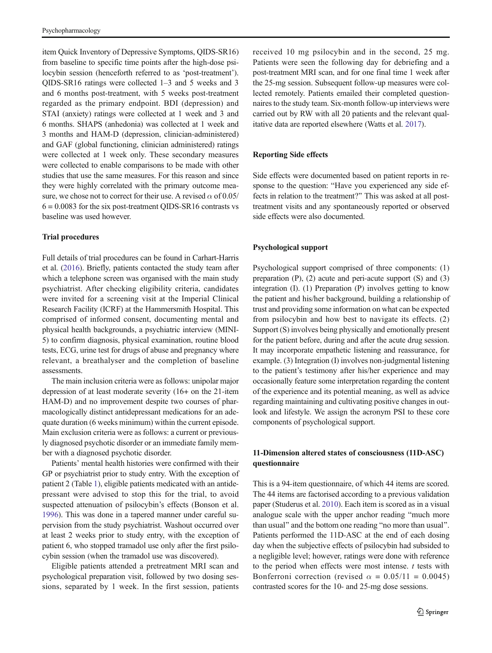item Quick Inventory of Depressive Symptoms, QIDS-SR16) from baseline to specific time points after the high-dose psilocybin session (henceforth referred to as 'post-treatment'). QIDS-SR16 ratings were collected 1–3 and 5 weeks and 3 and 6 months post-treatment, with 5 weeks post-treatment regarded as the primary endpoint. BDI (depression) and STAI (anxiety) ratings were collected at 1 week and 3 and 6 months. SHAPS (anhedonia) was collected at 1 week and 3 months and HAM-D (depression, clinician-administered) and GAF (global functioning, clinician administered) ratings were collected at 1 week only. These secondary measures were collected to enable comparisons to be made with other studies that use the same measures. For this reason and since they were highly correlated with the primary outcome measure, we chose not to correct for their use. A revised  $\alpha$  of 0.05/  $6 = 0.0083$  for the six post-treatment QIDS-SR16 contrasts vs baseline was used however.

# Trial procedures

Full details of trial procedures can be found in Carhart-Harris et al. ([2016](#page-8-0)). Briefly, patients contacted the study team after which a telephone screen was organised with the main study psychiatrist. After checking eligibility criteria, candidates were invited for a screening visit at the Imperial Clinical Research Facility (ICRF) at the Hammersmith Hospital. This comprised of informed consent, documenting mental and physical health backgrounds, a psychiatric interview (MINI-5) to confirm diagnosis, physical examination, routine blood tests, ECG, urine test for drugs of abuse and pregnancy where relevant, a breathalyser and the completion of baseline assessments.

The main inclusion criteria were as follows: unipolar major depression of at least moderate severity (16+ on the 21-item HAM-D) and no improvement despite two courses of pharmacologically distinct antidepressant medications for an adequate duration (6 weeks minimum) within the current episode. Main exclusion criteria were as follows: a current or previously diagnosed psychotic disorder or an immediate family member with a diagnosed psychotic disorder.

Patients' mental health histories were confirmed with their GP or psychiatrist prior to study entry. With the exception of patient 2 (Table [1](#page-3-0)), eligible patients medicated with an antidepressant were advised to stop this for the trial, to avoid suspected attenuation of psilocybin's effects (Bonson et al. [1996\)](#page-8-0). This was done in a tapered manner under careful supervision from the study psychiatrist. Washout occurred over at least 2 weeks prior to study entry, with the exception of patient 6, who stopped tramadol use only after the first psilocybin session (when the tramadol use was discovered).

Eligible patients attended a pretreatment MRI scan and psychological preparation visit, followed by two dosing sessions, separated by 1 week. In the first session, patients received 10 mg psilocybin and in the second, 25 mg. Patients were seen the following day for debriefing and a post-treatment MRI scan, and for one final time 1 week after the 25-mg session. Subsequent follow-up measures were collected remotely. Patients emailed their completed questionnaires to the study team. Six-month follow-up interviews were carried out by RW with all 20 patients and the relevant qualitative data are reported elsewhere (Watts et al. [2017](#page-9-0)).

# Reporting Side effects

Side effects were documented based on patient reports in response to the question: "Have you experienced any side effects in relation to the treatment?^ This was asked at all posttreatment visits and any spontaneously reported or observed side effects were also documented.

## Psychological support

Psychological support comprised of three components: (1) preparation (P), (2) acute and peri-acute support (S) and (3) integration (I). (1) Preparation (P) involves getting to know the patient and his/her background, building a relationship of trust and providing some information on what can be expected from psilocybin and how best to navigate its effects. (2) Support (S) involves being physically and emotionally present for the patient before, during and after the acute drug session. It may incorporate empathetic listening and reassurance, for example. (3) Integration (I) involves non-judgmental listening to the patient's testimony after his/her experience and may occasionally feature some interpretation regarding the content of the experience and its potential meaning, as well as advice regarding maintaining and cultivating positive changes in outlook and lifestyle. We assign the acronym PSI to these core components of psychological support.

# 11-Dimension altered states of consciousness (11D-ASC) questionnaire

This is a 94-item questionnaire, of which 44 items are scored. The 44 items are factorised according to a previous validation paper (Studerus et al. [2010](#page-9-0)). Each item is scored as in a visual analogue scale with the upper anchor reading "much more than usual" and the bottom one reading "no more than usual". Patients performed the 11D-ASC at the end of each dosing day when the subjective effects of psilocybin had subsided to a negligible level; however, ratings were done with reference to the period when effects were most intense.  $t$  tests with Bonferroni correction (revised  $\alpha = 0.05/11 = 0.0045$ ) contrasted scores for the 10- and 25-mg dose sessions.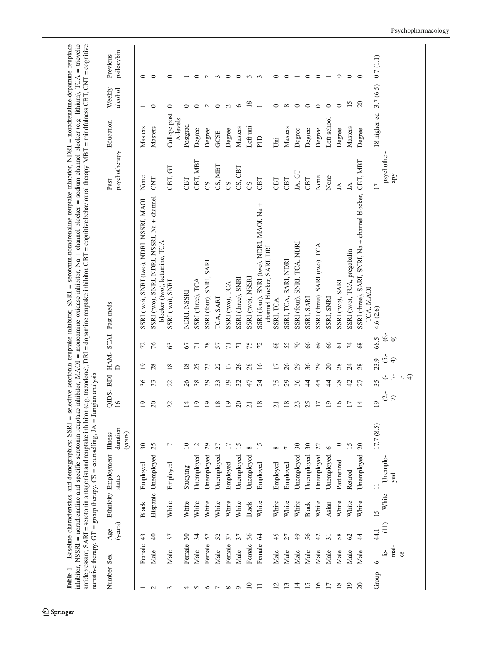<span id="page-3-0"></span>

|            |           |                      |       | narrative therapy, $GT = group$ therapy, $CS =counselling, JA = J ungian analysis$<br>Table 1 Baseline characteristics and demographics: SSRI = |                     |                |                 |                |    | selective serotonin reuptake inhibitor, SNRI = serotonin-noradrenaline reuptake inhibitor, NDRI = noradrenaline-dopamine reuptake<br>antidepressant, SARI = serotonin antagonist and reuptake inhibitor (e.g. trazodone), DRI = dopamine reuptake inhibitor. CBT = cognitive behavioural therapy, MBT = mindfulness CBT, CNT = cognitive<br>inhibitor, NSSRI = noradrenaline and specific serotonin reuptake inhibitor, MAOI = monoamine oxidase inhibitor, Na + channel blocker = sodium channel blocker (e.g. lithium), TCA = tricyclic |                       |                          |                   |                        |
|------------|-----------|----------------------|-------|-------------------------------------------------------------------------------------------------------------------------------------------------|---------------------|----------------|-----------------|----------------|----|-------------------------------------------------------------------------------------------------------------------------------------------------------------------------------------------------------------------------------------------------------------------------------------------------------------------------------------------------------------------------------------------------------------------------------------------------------------------------------------------------------------------------------------------|-----------------------|--------------------------|-------------------|------------------------|
| Number Sex |           | (years)<br>Age       |       | Ethnicity Employment Illness<br>status                                                                                                          | duration<br>(years) | $\leq$         |                 |                |    | QIDS- BDI HAM- STAI Past meds                                                                                                                                                                                                                                                                                                                                                                                                                                                                                                             | psychotherapy<br>Past | Education                | Weekly<br>alcohol | psilocybin<br>Previous |
|            | Female 43 |                      | Black | Employed                                                                                                                                        | 30                  | $\frac{1}{2}$  | 36              | $\overline{1}$ | 72 | SSRI (two), SNRI (two), NDRI, NSSRI, MAOI None                                                                                                                                                                                                                                                                                                                                                                                                                                                                                            |                       | Masters                  |                   |                        |
|            | Male      | $\frac{4}{\sqrt{2}}$ |       | Hispanic Unemployed 25                                                                                                                          |                     | $\overline{c}$ | 33              | 28             | 76 | SSRI (two), SNRI, NDRI, NSSRI, Na + channel CNT<br>blocker (two), ketamine, TCA                                                                                                                                                                                                                                                                                                                                                                                                                                                           |                       | Masters                  |                   |                        |
|            | Male      | 37                   | White | Employed                                                                                                                                        | 17                  | 22             | 22              | $\frac{8}{2}$  | 63 | SSRI (two), SNRI                                                                                                                                                                                                                                                                                                                                                                                                                                                                                                                          | CBT, GT               | College post<br>A-levels |                   |                        |
|            | Female 30 |                      | White | Studying                                                                                                                                        |                     | 4              | 26              | $^{\circ}$     | 67 | NDRI, NSSRI                                                                                                                                                                                                                                                                                                                                                                                                                                                                                                                               | CBT                   | Postgrad                 |                   |                        |
|            | Male      | 34                   | White | Unemployed                                                                                                                                      |                     | ਼              | 38              | 25             |    | SSRI (three), TCA                                                                                                                                                                                                                                                                                                                                                                                                                                                                                                                         | CBT, MBT              | Degree                   |                   |                        |
|            | Female    | 57                   | White | Unemployed                                                                                                                                      | 29                  |                | 39              | 23             | 78 | SSRI (four), SNRI, SARI                                                                                                                                                                                                                                                                                                                                                                                                                                                                                                                   | S                     | Degree                   |                   |                        |
|            | Male      | 52                   | White | Unemployed 27                                                                                                                                   |                     | ∞              | 33              | 22             | 57 | TCA, SARI                                                                                                                                                                                                                                                                                                                                                                                                                                                                                                                                 | CS, MBT               | GCSE                     |                   |                        |
|            | Female 37 |                      | White | Employed                                                                                                                                        | 17                  | ਼              | 39              |                |    | SSRI (two), TCA                                                                                                                                                                                                                                                                                                                                                                                                                                                                                                                           | SS                    | Degree                   |                   |                        |
|            | Male      | 37                   | White | Unemployed                                                                                                                                      | 15                  |                | 32              | 26             |    | SSRI (three), SNRI                                                                                                                                                                                                                                                                                                                                                                                                                                                                                                                        | CS, CBT               | Masters                  |                   |                        |
|            | Female 36 |                      | Black | Unemployed                                                                                                                                      | $\infty$            |                | 47              | 28             | 75 | SSRI (two), NSSRI                                                                                                                                                                                                                                                                                                                                                                                                                                                                                                                         | CS                    | Left uni                 | $\frac{8}{10}$    |                        |
|            | Female 64 |                      | White | Employed                                                                                                                                        |                     | $\frac{8}{2}$  | $\overline{24}$ | $\leq$         |    | SSRI (four), SNRI (two), NDRI, MAOI, Na+                                                                                                                                                                                                                                                                                                                                                                                                                                                                                                  | CBT                   | PhD                      |                   |                        |

11 Female 64 White Employed 15 18 24 16 72 SSRI (four), SNRI (two), NDRI, MAOI, Na +

Employed

channel blocker, SARI, DRI

channel blocker, SARI, DRI

SSRI (four), SNRI (two), NDRI, MAOI, Na+

 $68\,$ 55  $\mathcal{E}$  $66$ 

 $\overline{17}$  $\delta$ 

35

 $\infty$  $\overline{a}$ 

Employed Employed

White

 $45$ 27  $49$ 56  $\ddot{a}$ 

Male Male Male Male Male Male

 $\overline{\mathfrak{c}}$ 

 $13$  $\overline{1}$  $15$  $16$  $18\,$ 19  $20$ 

White

29 36

SSRI, TCA

20 Male 44 White Unemployed 20 14 27 28 68 SSRI (three), SARI, SNRI, Na + channel blocker,

 $\overline{1}$ 

Unemployed 20

White

 $\overline{4}$ 

Group 6

44.1 (11)

15 White

 $\equiv$ 

17.7 (8.5) 19

 $17.7(8.5)$ 

35

 $\overline{19}$ 

23.9 .<br>उ.स

68.5 .<br>७<br>०

4.6 (2.6)

4.6 (2.6) 17

SSRI (three), SARI, SNRI, Na + channel blocker, CBT, MBT

SSRI (two), TCA, pregabalin

SSRI (two), SARI

SSRI, SNRI

66  $\sqrt{6}$  $\mathcal{F}$  $68$ 

 $\overline{4}$  $28$  $\frac{4}{2}$ 27

 $19$  $16$   $\overline{17}$ 

Unemployed 6

 $10\,$  $15$ 

Part retired

White White

58

Male

 $\overline{31}$ 

Retired

62

Male Male psychotherapy

 $\overline{17}$ 

18 higher ed 3.7 (6.5) 0.7 (1.1)

18 higher ed 3.7 (6.5) 0.7 (1.1)

 $\dot{\mathfrak{a}} \, \mathfrak{c}$ 

しト ・ チ

Unemployed

females

TCA, MAOI

TCA, MAOI

CBT, MBT Degree 20 0

Degree

 $\circ$  $\circ$ 

 $\circ$  $\sim$  $\epsilon$  $\epsilon$  $\circ$  $\circ$ 

 $U$ ni

CBT  $CBT$ 

Masters

Degree Degree Degree

JA, GT

SSRI (four), SNRI, TCA, NDRI

29

 $2182351$ 

Unemployed 30

White

Unemployed 30

Black

 $36$  $29$  $20$  $28$  $\overline{z}$ 28

 $\frac{4}{5}$ 

SSRI, SARI

SSRI, TCA, SARI, NDRI

SSRI (three), SARI (two), TCA

 $69$ 

 $45$ 

 $22$ 

Unemployed

White Asian

 $\circ$  $\circ$   $\circ$  $\circ$  $\subset$ 

 $\circ$ 

Degree

 $J\overline{A}$  $\mathbb{A}$ 

 $15$  $\overline{c}$ 

Masters

 $\overline{ }$ 

Left school

None None  $CBT$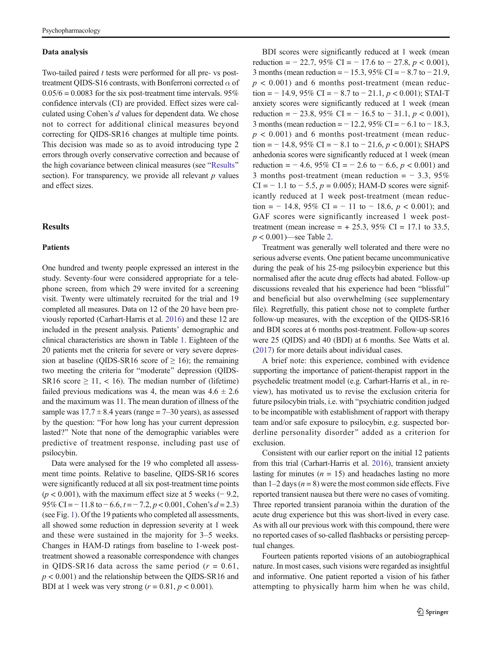#### <span id="page-4-0"></span>Data analysis

Two-tailed paired t tests were performed for all pre- vs posttreatment OIDS-S16 contrasts, with Bonferroni corrected  $\alpha$  of  $0.05/6 = 0.0083$  for the six post-treatment time intervals. 95% confidence intervals (CI) are provided. Effect sizes were calculated using Cohen's d values for dependent data. We chose not to correct for additional clinical measures beyond correcting for QIDS-SR16 changes at multiple time points. This decision was made so as to avoid introducing type 2 errors through overly conservative correction and because of the high covariance between clinical measures (see "Results" section). For transparency, we provide all relevant  $p$  values and effect sizes.

# Results

#### Patients

One hundred and twenty people expressed an interest in the study. Seventy-four were considered appropriate for a telephone screen, from which 29 were invited for a screening visit. Twenty were ultimately recruited for the trial and 19 completed all measures. Data on 12 of the 20 have been previously reported (Carhart-Harris et al. [2016\)](#page-8-0) and these 12 are included in the present analysis. Patients' demographic and clinical characteristics are shown in Table [1](#page-3-0). Eighteen of the 20 patients met the criteria for severe or very severe depression at baseline (QIDS-SR16 score of  $\geq$  16); the remaining two meeting the criteria for "moderate" depression (QIDS-SR16 score  $\geq$  11, < 16). The median number of (lifetime) failed previous medications was 4, the mean was  $4.6 \pm 2.6$ and the maximum was 11. The mean duration of illness of the sample was  $17.7 \pm 8.4$  years (range = 7–30 years), as assessed by the question: "For how long has your current depression lasted?" Note that none of the demographic variables were predictive of treatment response, including past use of psilocybin.

Data were analysed for the 19 who completed all assessment time points. Relative to baseline, QIDS-SR16 scores were significantly reduced at all six post-treatment time points  $(p < 0.001)$ , with the maximum effect size at 5 weeks  $(-9.2, ...)$ 95% CI =  $-11.8$  to  $-6.6$ ,  $t = -7.2$ ,  $p < 0.001$ , Cohen's  $d = 2.3$ ) (see Fig. [1\)](#page-5-0). Of the 19 patients who completed all assessments, all showed some reduction in depression severity at 1 week and these were sustained in the majority for 3–5 weeks. Changes in HAM-D ratings from baseline to 1-week posttreatment showed a reasonable correspondence with changes in QIDS-SR16 data across the same period ( $r = 0.61$ ,  $p < 0.001$ ) and the relationship between the QIDS-SR16 and BDI at 1 week was very strong ( $r = 0.81$ ,  $p < 0.001$ ).

BDI scores were significantly reduced at 1 week (mean reduction =  $-22.7$ , 95% CI =  $-17.6$  to  $-27.8$ ,  $p < 0.001$ ), 3 months (mean reduction =  $-15.3$ , 95% CI =  $-8.7$  to  $-21.9$ ,  $p < 0.001$ ) and 6 months post-treatment (mean reduction =  $-14.9$ , 95% CI =  $-8.7$  to  $-21.1$ ,  $p < 0.001$ ); STAI-T anxiety scores were significantly reduced at 1 week (mean reduction =  $-23.8$ , 95% CI =  $-16.5$  to  $-31.1$ ,  $p < 0.001$ ), 3 months (mean reduction =  $-12.2$ , 95% CI =  $-6.1$  to  $-18.3$ ,  $p < 0.001$ ) and 6 months post-treatment (mean reduction =  $-14.8$ , 95% CI =  $-8.1$  to  $-21.6$ ,  $p < 0.001$ ); SHAPS anhedonia scores were significantly reduced at 1 week (mean reduction =  $-4.6$ , 95% CI =  $-2.6$  to  $-6.6$ ,  $p < 0.001$ ) and 3 months post-treatment (mean reduction =  $-3.3$ , 95%  $CI = -1.1$  to  $-5.5$ ,  $p = 0.005$ ); HAM-D scores were significantly reduced at 1 week post-treatment (mean reduction =  $-14.8$ , 95% CI =  $-11$  to  $-18.6$ ,  $p < 0.001$ ); and GAF scores were significantly increased 1 week posttreatment (mean increase =  $+ 25.3$ , 95% CI = 17.1 to 33.5,  $p < 0.001$  —see Table [2.](#page-6-0)

Treatment was generally well tolerated and there were no serious adverse events. One patient became uncommunicative during the peak of his 25-mg psilocybin experience but this normalised after the acute drug effects had abated. Follow-up discussions revealed that his experience had been "blissful" and beneficial but also overwhelming (see supplementary file). Regretfully, this patient chose not to complete further follow-up measures, with the exception of the QIDS-SR16 and BDI scores at 6 months post-treatment. Follow-up scores were 25 (QIDS) and 40 (BDI) at 6 months. See Watts et al. [\(2017\)](#page-9-0) for more details about individual cases.

A brief note: this experience, combined with evidence supporting the importance of patient-therapist rapport in the psychedelic treatment model (e.g. Carhart-Harris et al., in review), has motivated us to revise the exclusion criteria for future psilocybin trials, i.e. with "psychiatric condition judged to be incompatible with establishment of rapport with therapy team and/or safe exposure to psilocybin, e.g. suspected borderline personality disorder^ added as a criterion for exclusion.

Consistent with our earlier report on the initial 12 patients from this trial (Carhart-Harris et al. [2016](#page-8-0)), transient anxiety lasting for minutes  $(n = 15)$  and headaches lasting no more than  $1-2$  days ( $n = 8$ ) were the most common side effects. Five reported transient nausea but there were no cases of vomiting. Three reported transient paranoia within the duration of the acute drug experience but this was short-lived in every case. As with all our previous work with this compound, there were no reported cases of so-called flashbacks or persisting perceptual changes.

Fourteen patients reported visions of an autobiographical nature. In most cases, such visions were regarded as insightful and informative. One patient reported a vision of his father attempting to physically harm him when he was child,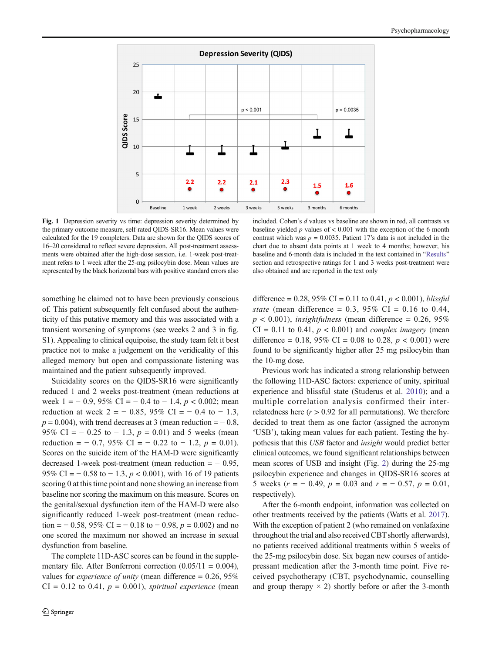<span id="page-5-0"></span>

Fig. 1 Depression severity vs time: depression severity determined by the primary outcome measure, self-rated QIDS-SR16. Mean values were calculated for the 19 completers. Data are shown for the QIDS scores of 16–20 considered to reflect severe depression. All post-treatment assessments were obtained after the high-dose session, i.e. 1-week post-treatment refers to 1 week after the 25-mg psilocybin dose. Mean values are represented by the black horizontal bars with positive standard errors also

something he claimed not to have been previously conscious of. This patient subsequently felt confused about the authenticity of this putative memory and this was associated with a transient worsening of symptoms (see weeks 2 and 3 in fig. S1). Appealing to clinical equipoise, the study team felt it best practice not to make a judgement on the veridicality of this alleged memory but open and compassionate listening was maintained and the patient subsequently improved.

Suicidality scores on the QIDS-SR16 were significantly reduced 1 and 2 weeks post-treatment (mean reductions at week  $1 = -0.9$ , 95% CI =  $-0.4$  to  $-1.4$ ,  $p < 0.002$ ; mean reduction at week  $2 = -0.85$ , 95% CI =  $-0.4$  to  $-1.3$ ,  $p = 0.004$ ), with trend decreases at 3 (mean reduction =  $-0.8$ , 95% CI =  $-0.25$  to  $-1.3$ ,  $p = 0.01$ ) and 5 weeks (mean reduction =  $-$  0.7, 95% CI =  $-$  0.22 to  $-$  1.2,  $p = 0.01$ ). Scores on the suicide item of the HAM-D were significantly decreased 1-week post-treatment (mean reduction  $=$   $-$  0.95, 95% CI =  $-0.58$  to  $-1.3$ ,  $p < 0.001$ ), with 16 of 19 patients scoring 0 at this time point and none showing an increase from baseline nor scoring the maximum on this measure. Scores on the genital/sexual dysfunction item of the HAM-D were also significantly reduced 1-week post-treatment (mean reduction =  $-$  0.58, 95% CI =  $-$  0.18 to  $-$  0.98,  $p = 0.002$ ) and no one scored the maximum nor showed an increase in sexual dysfunction from baseline.

The complete 11D-ASC scores can be found in the supplementary file. After Bonferroni correction  $(0.05/11 = 0.004)$ , values for experience of unity (mean difference = 0.26, 95%  $CI = 0.12$  to 0.41,  $p = 0.001$ ), spiritual experience (mean

included. Cohen's d values vs baseline are shown in red, all contrasts vs baseline yielded  $p$  values of  $< 0.001$  with the exception of the 6 month contrast which was  $p = 0.0035$ . Patient 17's data is not included in the chart due to absent data points at 1 week to 4 months; however, his baseline and 6-month data is included in the text contained in "[Results](#page-4-0)" section and retrospective ratings for 1 and 3 weeks post-treatment were also obtained and are reported in the text only

difference = 0.28, 95% CI = 0.11 to 0.41,  $p < 0.001$ ), *blissful* state (mean difference = 0.3, 95% CI = 0.16 to 0.44,  $p < 0.001$ ), insightfulness (mean difference = 0.26, 95%)  $CI = 0.11$  to 0.41,  $p < 0.001$ ) and *complex imagery* (mean difference = 0.18, 95% CI = 0.08 to 0.28,  $p < 0.001$ ) were found to be significantly higher after 25 mg psilocybin than the 10-mg dose.

Previous work has indicated a strong relationship between the following 11D-ASC factors: experience of unity, spiritual experience and blissful state (Studerus et al. [2010\)](#page-9-0); and a multiple correlation analysis confirmed their interrelatedness here  $(r > 0.92$  for all permutations). We therefore decided to treat them as one factor (assigned the acronym 'USB'), taking mean values for each patient. Testing the hypothesis that this USB factor and insight would predict better clinical outcomes, we found significant relationships between mean scores of USB and insight (Fig. [2\)](#page-7-0) during the 25-mg psilocybin experience and changes in QIDS-SR16 scores at 5 weeks  $(r = -0.49, p = 0.03$  and  $r = -0.57, p = 0.01$ , respectively).

After the 6-month endpoint, information was collected on other treatments received by the patients (Watts et al. [2017\)](#page-9-0). With the exception of patient 2 (who remained on venlafaxine throughout the trial and also received CBT shortly afterwards), no patients received additional treatments within 5 weeks of the 25-mg psilocybin dose. Six began new courses of antidepressant medication after the 3-month time point. Five received psychotherapy (CBT, psychodynamic, counselling and group therapy  $\times$  2) shortly before or after the 3-month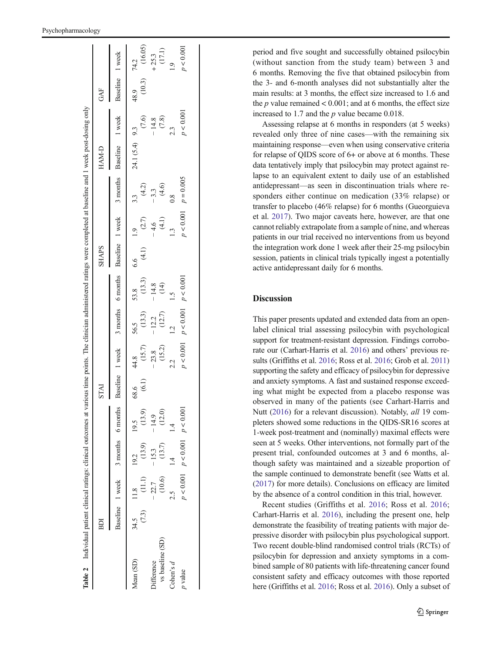<span id="page-6-0"></span>

|  | Psychopharmacology |  |
|--|--------------------|--|
|--|--------------------|--|

|                                | 區 |                   |                                     |                   | <b>INTS</b> |                   |                                          |                 | <b>SHAPS</b>               |                         |                 | HAM-D                                                                                      |                  | GAF       |                    |
|--------------------------------|---|-------------------|-------------------------------------|-------------------|-------------|-------------------|------------------------------------------|-----------------|----------------------------|-------------------------|-----------------|--------------------------------------------------------------------------------------------|------------------|-----------|--------------------|
|                                |   |                   | Baseline 1 week 3 months 6 months   |                   |             |                   |                                          |                 |                            |                         |                 | Baseline I week 3 months 6 months Baseline I week 3 months Baseline I week Baseline I week |                  |           |                    |
| Mean (SD)                      |   | 34.5 11.8 19.2    | $(7.3)$ $(11.1)$ $(13.9)$ $(13.9)$  | 19.5              |             | 68.6 44.8         | (6.1) $(15.7)$ $(13.3)$ $(13.3)$<br>56.5 | 53.8            | 6.6 1.9<br>$(4.1)$ $(2.7)$ |                         | (4.2)<br>3.3    | 24.1 (5.4) 9.3                                                                             | (7.6)            | 48.9 74.2 | $(10.3)$ $(16.05)$ |
| vs baseline (SD)<br>Difference |   | (10.6)<br>$-22.7$ | (13.7)<br>$-15.3$                   | (12.0)<br>$-14.9$ |             | $-23.8$<br>(15.2) | $-12.2$<br>(12.7)                        | $-14.8$<br>(14) |                            | (4.1)<br>$-4.6$         | (4.6)<br>$-3.3$ |                                                                                            | (7.8)<br>$-14.8$ |           | (17.1)<br>$+25.3$  |
| Cohen's $d$                    |   | 2.5               | $\frac{4}{1}$                       |                   |             | 2.2               | 1.2                                      |                 |                            | $\ddot{1}$              |                 |                                                                                            | 23               |           | 1.9                |
| p value                        |   |                   | $p < 0.001$ $p < 0.001$ $p < 0.001$ |                   |             |                   | $p < 0.001$ $p < 0.001$ $p < 0.001$      |                 |                            | $p < 0.001$ $p = 0.005$ |                 |                                                                                            | p < 0.001        |           | p < 0.001          |

 $\ddot{\cdot}$ 

 $\begin{bmatrix} 1 & 1 & 1 \\ 1 & 1 & 1 \\ 1 & 1 & 1 \end{bmatrix}$ 

ŗ.

period and five sought and successfully obtained psilocybin (without sanction from the study team) between 3 and 6 months. Removing the five that obtained psilocybin from the 3- and 6-month analyses did not substantially alter the main results: at 3 months, the effect size increased to 1.6 and the  $p$  value remained < 0.001; and at 6 months, the effect size increased to 1.7 and the  $p$  value became 0.018.

Assessing relapse at 6 months in responders (at 5 weeks) revealed only three of nine cases —with the remaining six maintaining response—even when using conservative criteria for relapse of QIDS score of 6+ or above at 6 months. These data tentatively imply that psilocybin may protect against relapse to an equivalent extent to daily use of an established antidepressant—as seen in discontinuation trials where responders either continue on medication (33% relapse) or transfer to placebo (46% relapse) for 6 months (Gueorguieva et al. [2017\)](#page-8-0). Two major caveats here, however, are that one cannot reliably extrapolate from a sample of nine, and whereas patients in our trial received no interventions from us beyond the integration work done 1 week after their 25-mg psilocybin session, patients in clinical trials typically ingest a potentially active antidepressant daily for 6 months.

# Discussion

This paper presents updated and extended data from an openlabel clinical trial assessing psilocybin with psychological support for treatment-resistant depression. Findings corroborate our (Carhart-Harris et al. [2016\)](#page-8-0) and others' previous results (Griffiths et al. [2016;](#page-8-0) Ross et al. [2016;](#page-9-0) Grob et al. [2011](#page-8-0)) supporting the safety and efficacy of psilocybin for depressive and anxiety symptoms. A fast and sustained response exceeding what might be expected from a placebo response was observed in many of the patients (see Carhart-Harris and Nutt ([2016](#page-8-0)) for a relevant discussion). Notably, all 19 completers showed some reductions in the QIDS-SR16 scores at 1-week post-treatment and (nominally) maximal effects were seen at 5 weeks. Other interventions, not formally part of the present trial, confounded outcomes at 3 and 6 months, although safety was maintained and a sizeable proportion of the sample continued to demonstrate benefit (see Watts et al. [\(2017\)](#page-9-0) for more details). Conclusions on efficacy are limited by the absence of a control condition in this trial, however.

Recent studies (Griffiths et al. [2016;](#page-8-0) Ross et al. [2016](#page-9-0) ; Carhart-Harris et al. [2016\)](#page-8-0), including the present one, help demonstrate the feasibility of treating patients with major depressive disorder with psilocybin plus psychological support. Two recent double-blind randomised control trials (RCTs) of psilocybin for depression and anxiety symptoms in a combined sample of 80 patients with life-threatening cancer found consistent safety and efficacy outcomes with those reported here (Griffiths et al. [2016;](#page-8-0) Ross et al. [2016](#page-9-0)). Only a subset of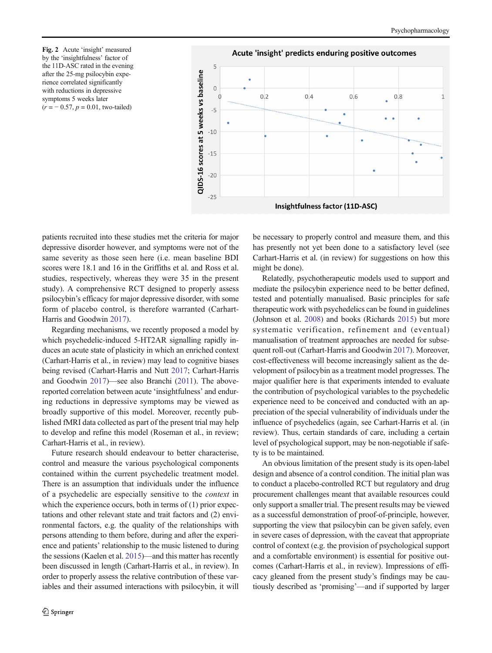<span id="page-7-0"></span>Fig. 2 Acute 'insight' measured by the 'insightfulness' factor of the 11D-ASC rated in the evening after the 25-mg psilocybin experience correlated significantly with reductions in depressive symptoms 5 weeks later  $(r = -0.57, p = 0.01,$  two-tailed)



patients recruited into these studies met the criteria for major depressive disorder however, and symptoms were not of the same severity as those seen here (i.e. mean baseline BDI scores were 18.1 and 16 in the Griffiths et al. and Ross et al. studies, respectively, whereas they were 35 in the present study). A comprehensive RCT designed to properly assess psilocybin's efficacy for major depressive disorder, with some form of placebo control, is therefore warranted (Carhart-Harris and Goodwin [2017\)](#page-8-0).

Regarding mechanisms, we recently proposed a model by which psychedelic-induced 5-HT2AR signalling rapidly induces an acute state of plasticity in which an enriched context (Carhart-Harris et al., in review) may lead to cognitive biases being revised (Carhart-Harris and Nutt [2017](#page-8-0); Carhart-Harris and Goodwin [2017\)](#page-8-0)—see also Branchi ([2011](#page-8-0)). The abovereported correlation between acute 'insightfulness' and enduring reductions in depressive symptoms may be viewed as broadly supportive of this model. Moreover, recently published fMRI data collected as part of the present trial may help to develop and refine this model (Roseman et al., in review; Carhart-Harris et al., in review).

Future research should endeavour to better characterise, control and measure the various psychological components contained within the current psychedelic treatment model. There is an assumption that individuals under the influence of a psychedelic are especially sensitive to the context in which the experience occurs, both in terms of (1) prior expectations and other relevant state and trait factors and (2) environmental factors, e.g. the quality of the relationships with persons attending to them before, during and after the experience and patients' relationship to the music listened to during the sessions (Kaelen et al. [2015](#page-9-0))—and this matter has recently been discussed in length (Carhart-Harris et al., in review). In order to properly assess the relative contribution of these variables and their assumed interactions with psilocybin, it will be necessary to properly control and measure them, and this has presently not yet been done to a satisfactory level (see Carhart-Harris et al. (in review) for suggestions on how this might be done).

Relatedly, psychotherapeutic models used to support and mediate the psilocybin experience need to be better defined, tested and potentially manualised. Basic principles for safe therapeutic work with psychedelics can be found in guidelines (Johnson et al. [2008](#page-8-0)) and books (Richards [2015](#page-9-0)) but more systematic verification, refinement and (eventual) manualisation of treatment approaches are needed for subsequent roll-out (Carhart-Harris and Goodwin [2017](#page-8-0)). Moreover, cost-effectiveness will become increasingly salient as the development of psilocybin as a treatment model progresses. The major qualifier here is that experiments intended to evaluate the contribution of psychological variables to the psychedelic experience need to be conceived and conducted with an appreciation of the special vulnerability of individuals under the influence of psychedelics (again, see Carhart-Harris et al. (in review). Thus, certain standards of care, including a certain level of psychological support, may be non-negotiable if safety is to be maintained.

An obvious limitation of the present study is its open-label design and absence of a control condition. The initial plan was to conduct a placebo-controlled RCT but regulatory and drug procurement challenges meant that available resources could only support a smaller trial. The present results may be viewed as a successful demonstration of proof-of-principle, however, supporting the view that psilocybin can be given safely, even in severe cases of depression, with the caveat that appropriate control of context (e.g. the provision of psychological support and a comfortable environment) is essential for positive outcomes (Carhart-Harris et al., in review). Impressions of efficacy gleaned from the present study's findings may be cautiously described as 'promising'—and if supported by larger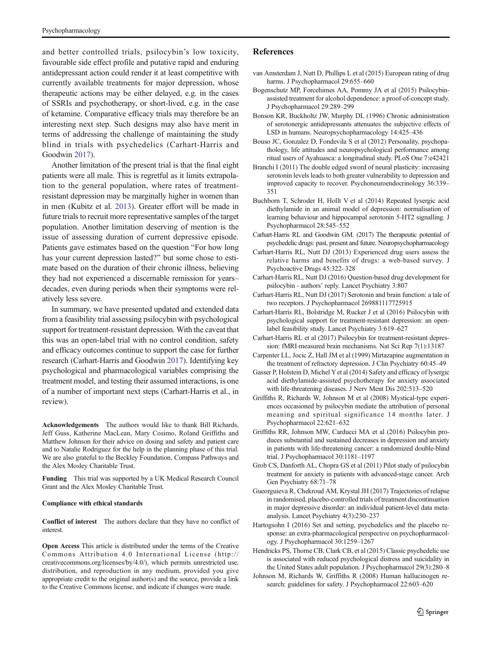<span id="page-8-0"></span>and better controlled trials, psilocybin's low toxicity, favourable side effect profile and putative rapid and enduring antidepressant action could render it at least competitive with currently available treatments for major depression, whose therapeutic actions may be either delayed, e.g. in the cases of SSRIs and psychotherapy, or short-lived, e.g. in the case of ketamine. Comparative efficacy trials may therefore be an interesting next step. Such designs may also have merit in terms of addressing the challenge of maintaining the study blind in trials with psychedelics (Carhart-Harris and Goodwin 2017).

Another limitation of the present trial is that the final eight patients were all male. This is regretful as it limits extrapolation to the general population, where rates of treatmentresistant depression may be marginally higher in women than in men (Kubitz et al. [2013\)](#page-9-0). Greater effort will be made in future trials to recruit more representative samples of the target population. Another limitation deserving of mention is the issue of assessing duration of current depressive episode. Patients gave estimates based on the question "For how long" has your current depression lasted?" but some chose to estimate based on the duration of their chronic illness, believing they had not experienced a discernable remission for years– decades, even during periods when their symptoms were relatively less severe.

In summary, we have presented updated and extended data from a feasibility trial assessing psilocybin with psychological support for treatment-resistant depression. With the caveat that this was an open-label trial with no control condition, safety and efficacy outcomes continue to support the case for further research (Carhart-Harris and Goodwin 2017). Identifying key psychological and pharmacological variables comprising the treatment model, and testing their assumed interactions, is one of a number of important next steps (Carhart-Harris et al., in review).

Acknowledgements The authors would like to thank Bill Richards, Jeff Guss, Katherine MacLean, Mary Cosimo, Roland Griffiths and Matthew Johnson for their advice on dosing and safety and patient care and to Natalie Rodriguez for the help in the planning phase of this trial. We are also grateful to the Beckley Foundation, Compass Pathways and the Alex Mosley Charitable Trust.

Funding This trial was supported by a UK Medical Research Council Grant and the Alex Mosley Charitable Trust.

#### Compliance with ethical standards

Conflict of interest The authors declare that they have no conflict of interest.

Open Access This article is distributed under the terms of the Creative Commons Attribution 4.0 International License (http:// creativecommons.org/licenses/by/4.0/), which permits unrestricted use, distribution, and reproduction in any medium, provided you give appropriate credit to the original author(s) and the source, provide a link to the Creative Commons license, and indicate if changes were made.

## References

- van Amsterdam J, Nutt D, Phillips L et al (2015) European rating of drug harms. J Psychopharmacol 29:655–660
- Bogenschutz MP, Forcehimes AA, Pommy JA et al (2015) Psilocybinassisted treatment for alcohol dependence: a proof-of-concept study. J Psychopharmacol 29:289–299
- Bonson KR, Buckholtz JW, Murphy DL (1996) Chronic administration of serotonergic antidepressants attenuates the subjective effects of LSD in humans. Neuropsychopharmacology 14:425–436
- Bouso JC, Gonzalez D, Fondevila S et al (2012) Personality, psychopathology, life attitudes and neuropsychological performance among ritual users of Ayahuasca: a longitudinal study. PLoS One 7:e42421
- Branchi I (2011) The double edged sword of neural plasticity: increasing serotonin levels leads to both greater vulnerability to depression and improved capacity to recover. Psychoneuroendocrinology 36:339– 351
- Buchborn T, Schroder H, Hollt V et al (2014) Repeated lysergic acid diethylamide in an animal model of depression: normalisation of learning behaviour and hippocampal serotonin 5-HT2 signalling. J Psychopharmacol 28:545–552
- Carhart-Harris RL and Goodwin GM. (2017) The therapeutic potential of psychedelic drugs: past, present and future. Neuropsychopharmacology
- Carhart-Harris RL, Nutt DJ (2013) Experienced drug users assess the relative harms and benefits of drugs: a web-based survey. J Psychoactive Drugs 45:322–328
- Carhart-Harris RL, Nutt DJ (2016) Question-based drug development for psilocybin - authors' reply. Lancet Psychiatry 3:807
- Carhart-Harris RL, Nutt DJ (2017) Serotonin and brain function: a tale of two receptors. J Psychopharmacol 269881117725915
- Carhart-Harris RL, Bolstridge M, Rucker J et al (2016) Psilocybin with psychological support for treatment-resistant depression: an openlabel feasibility study. Lancet Psychiatry 3:619–627
- Carhart-Harris RL et al (2017) Psilocybin for treatment-resistant depression: fMRI-measured brain mechanisms. Nat Sci Rep 7(1):13187
- Carpenter LL, Jocic Z, Hall JM et al (1999) Mirtazapine augmentation in the treatment of refractory depression. J Clin Psychiatry 60:45–49
- Gasser P, Holstein D, Michel Yet al (2014) Safety and efficacy of lysergic acid diethylamide-assisted psychotherapy for anxiety associated with life-threatening diseases. J Nerv Ment Dis 202:513–520
- Griffiths R, Richards W, Johnson M et al (2008) Mystical-type experiences occasioned by psilocybin mediate the attribution of personal meaning and spiritual significance 14 months later. J Psychopharmacol 22:621–632
- Griffiths RR, Johnson MW, Carducci MA et al (2016) Psilocybin produces substantial and sustained decreases in depression and anxiety in patients with life-threatening cancer: a randomized double-blind trial. J Psychopharmacol 30:1181–1197
- Grob CS, Danforth AL, Chopra GS et al (2011) Pilot study of psilocybin treatment for anxiety in patients with advanced-stage cancer. Arch Gen Psychiatry 68:71–78
- Gueorguieva R, Chekroud AM, Krystal JH (2017) Trajectories of relapse in randomised, placebo-controlled trials of treatment discontinuation in major depressive disorder: an individual patient-level data metaanalysis. Lancet Psychiatry 4(3):230–237
- Hartogsohn I (2016) Set and setting, psychedelics and the placebo response: an extra-pharmacological perspective on psychopharmacology. J Psychopharmacol 30:1259–1267
- Hendricks PS, Thorne CB, Clark CB, et al (2015) Classic psychedelic use is associated with reduced psychological distress and suicidality in the United States adult population. J Psychopharmacol 29(3):280–8
- Johnson M, Richards W, Griffiths R (2008) Human hallucinogen research: guidelines for safety. J Psychopharmacol 22:603–620